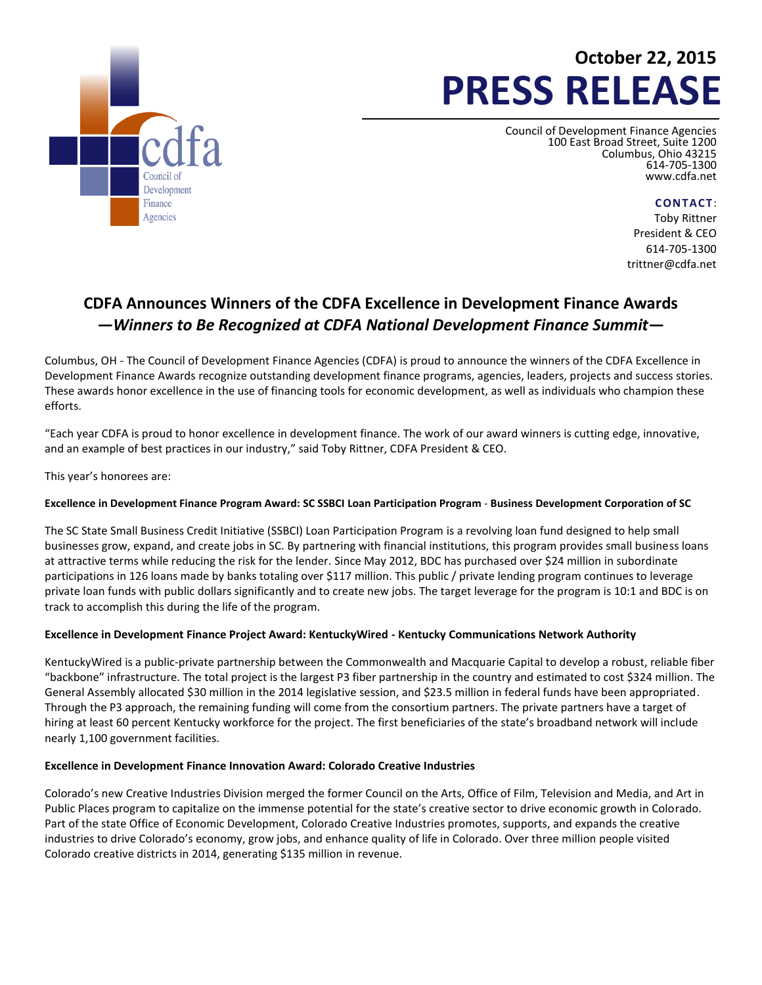

# **October 22, 2015 PRESS RELEASE**

Council of Development Finance Agencies 100 East Broad Street, Suite 1200 Columbus, Ohio 43215 614-705-1300 [www.cdfa.net](http://www.cdfa.net/)

**CONTACT**:

Toby Rittner President & CEO 614-705-1300 trittner@cdfa.net

## **CDFA Announces Winners of the CDFA Excellence in Development Finance Awards** *—Winners to Be Recognized at CDFA National Development Finance Summit***—**

Columbus, OH - The Council of Development Finance Agencies (CDFA) is proud to announce the winners of the CDFA Excellence in Development Finance Awards recognize outstanding development finance programs, agencies, leaders, projects and success stories. These awards honor excellence in the use of financing tools for economic development, as well as individuals who champion these efforts.

"Each year CDFA is proud to honor excellence in development finance. The work of our award winners is cutting edge, innovative, and an example of best practices in our industry," said Toby Rittner, CDFA President & CEO.

This year's honorees are:

### **Excellence in Development Finance Program Award: SC SSBCI Loan Participation Program** - **Business Development Corporation of SC**

The SC State Small Business Credit Initiative (SSBCI) Loan Participation Program is a revolving loan fund designed to help small businesses grow, expand, and create jobs in SC. By partnering with financial institutions, this program provides small business loans at attractive terms while reducing the risk for the lender. Since May 2012, BDC has purchased over \$24 million in subordinate participations in 126 loans made by banks totaling over \$117 million. This public / private lending program continues to leverage private loan funds with public dollars significantly and to create new jobs. The target leverage for the program is 10:1 and BDC is on track to accomplish this during the life of the program.

### **Excellence in Development Finance Project Award: KentuckyWired - Kentucky Communications Network Authority**

KentuckyWired is a public-private partnership between the Commonwealth and Macquarie Capital to develop a robust, reliable fiber "backbone" infrastructure. The total project is the largest P3 fiber partnership in the country and estimated to cost \$324 million. The General Assembly allocated \$30 million in the 2014 legislative session, and \$23.5 million in federal funds have been appropriated. Through the P3 approach, the remaining funding will come from the consortium partners. The private partners have a target of hiring at least 60 percent Kentucky workforce for the project. The first beneficiaries of the state's broadband network will include nearly 1,100 government facilities.

### **Excellence in Development Finance Innovation Award: Colorado Creative Industries**

Colorado's new Creative Industries Division merged the former Council on the Arts, Office of Film, Television and Media, and Art in Public Places program to capitalize on the immense potential for the state's creative sector to drive economic growth in Colorado. Part of the state Office of Economic Development, Colorado Creative Industries promotes, supports, and expands the creative industries to drive Colorado's economy, grow jobs, and enhance quality of life in Colorado. Over three million people visited Colorado creative districts in 2014, generating \$135 million in revenue.